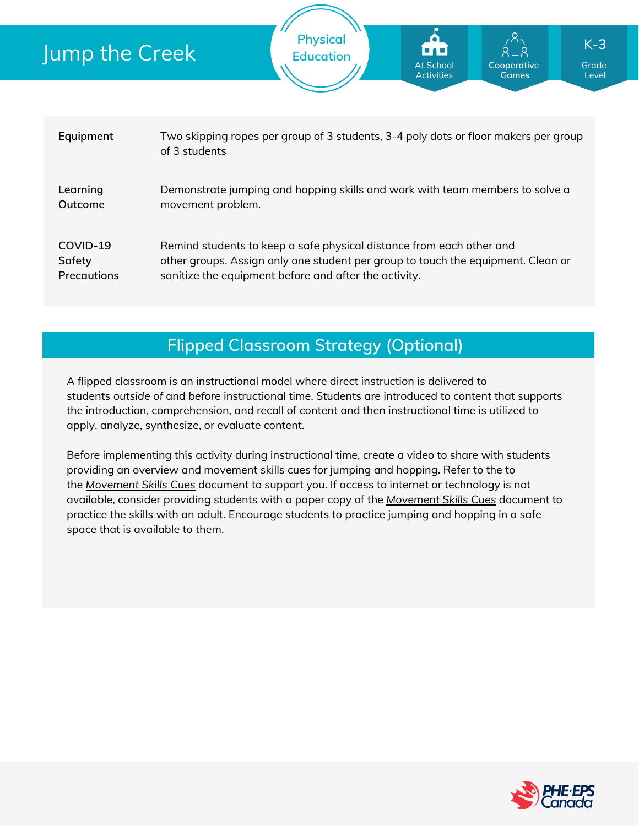| Jump the Creek |                                          | <b>FIIYSILUI</b><br><b>Education</b>                                                                                                                                                                              | <b>.</b><br><b>At School</b><br><b>Activities</b> | $\sqrt{11}$<br>$8 - 8$<br>Cooperative<br><b>Games</b> | K-3<br>Grade<br>Level |  |
|----------------|------------------------------------------|-------------------------------------------------------------------------------------------------------------------------------------------------------------------------------------------------------------------|---------------------------------------------------|-------------------------------------------------------|-----------------------|--|
|                |                                          |                                                                                                                                                                                                                   |                                                   |                                                       |                       |  |
|                | Equipment                                | Two skipping ropes per group of 3 students, 3-4 poly dots or floor makers per group<br>of 3 students                                                                                                              |                                                   |                                                       |                       |  |
|                | Learning<br>Outcome                      | Demonstrate jumping and hopping skills and work with team members to solve a<br>movement problem.                                                                                                                 |                                                   |                                                       |                       |  |
|                | COVID-19<br>Safety<br><b>Precautions</b> | Remind students to keep a safe physical distance from each other and<br>other groups. Assign only one student per group to touch the equipment. Clean or<br>sanitize the equipment before and after the activity. |                                                   |                                                       |                       |  |

**Physical**

## **Flipped Classroom Strategy (Optional)**

A flipped classroom is an instructional model where direct instruction is delivered to students *outside of* and *before* instructional time. Students are introduced to content that supports the introduction, comprehension, and recall of content and then instructional time is utilized to apply, analyze, synthesize, or evaluate content.

Before implementing this activity during instructional time, create a video to share with students providing an overview and movement skills cues for jumping and hopping. Refer to the to the *[Movement](https://phecanada.ca/sites/default/files/content/docs/Home%20Learning%20Resource/Movement%20Cues/Movement%20Skills%20Cues%201.pdf) Skills Cues* document to support you. If access to internet or technology is not available, consider providing students with a paper copy of the *[Movement](https://phecanada.ca/sites/default/files/content/docs/Home%20Learning%20Resource/Movement%20Cues/Movement%20Skills%20Cues%201.pdf) Skills Cues* document to practice the skills with an adult. Encourage students to practice jumping and hopping in a safe space that is available to them.

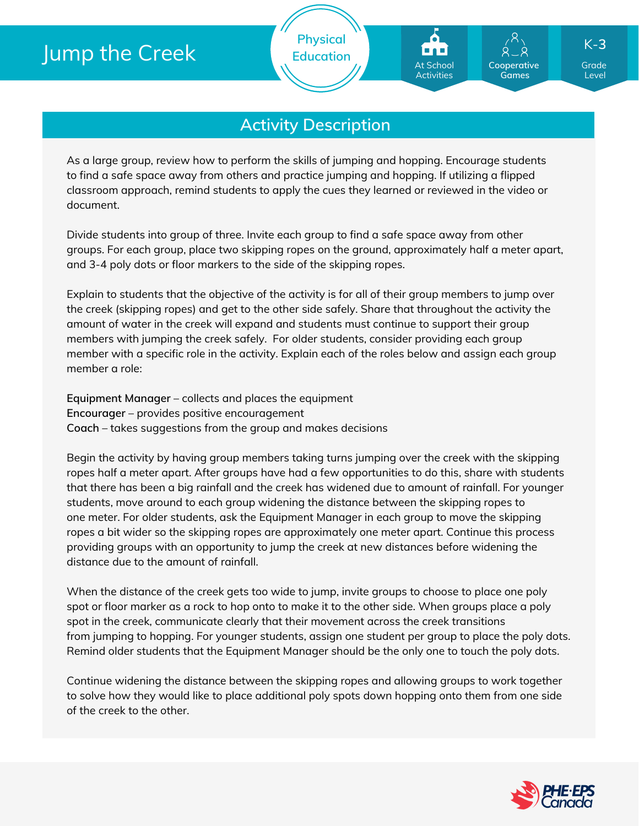## Jump the Creek

**Physical Education**

## **Activity Description**

As a large group, review how to perform the skills of jumping and hopping. Encourage students to find a safe space away from others and practice jumping and hopping. If utilizing a flipped classroom approach, remind students to apply the cues they learned or reviewed in the video or document.

Divide students into group of three. Invite each group to find a safe space away from other groups. For each group, place two skipping ropes on the ground, approximately half a meter apart, and 3-4 poly dots or floor markers to the side of the skipping ropes.

Explain to students that the objective of the activity is for all of their group members to jump over the creek (skipping ropes) and get to the other side safely. Share that throughout the activity the amount of water in the creek will expand and students must continue to support their group members with jumping the creek safely. For older students, consider providing each group member with a specific role in the activity. Explain each of the roles below and assign each group member a role:

**Equipment Manager** – collects and places the equipment **Encourager** – provides positive encouragement **Coach** – takes suggestions from the group and makes decisions

Begin the activity by having group members taking turns jumping over the creek with the skipping ropes half a meter apart. After groups have had a few opportunities to do this, share with students that there has been a big rainfall and the creek has widened due to amount of rainfall. For younger students, move around to each group widening the distance between the skipping ropes to one meter. For older students, ask the Equipment Manager in each group to move the skipping ropes a bit wider so the skipping ropes are approximately one meter apart. Continue this process providing groups with an opportunity to jump the creek at new distances before widening the distance due to the amount of rainfall.

When the distance of the creek gets too wide to jump, invite groups to choose to place one poly spot or floor marker as a rock to hop onto to make it to the other side. When groups place a poly spot in the creek, communicate clearly that their movement across the creek transitions from jumping to hopping. For younger students, assign one student per group to place the poly dots. Remind older students that the Equipment Manager should be the only one to touch the poly dots.

Continue widening the distance between the skipping ropes and allowing groups to work together to solve how they would like to place additional poly spots down hopping onto them from one side of the creek to the other.



Grade Level

K-**3**

**Cooperative Games**

At School Activities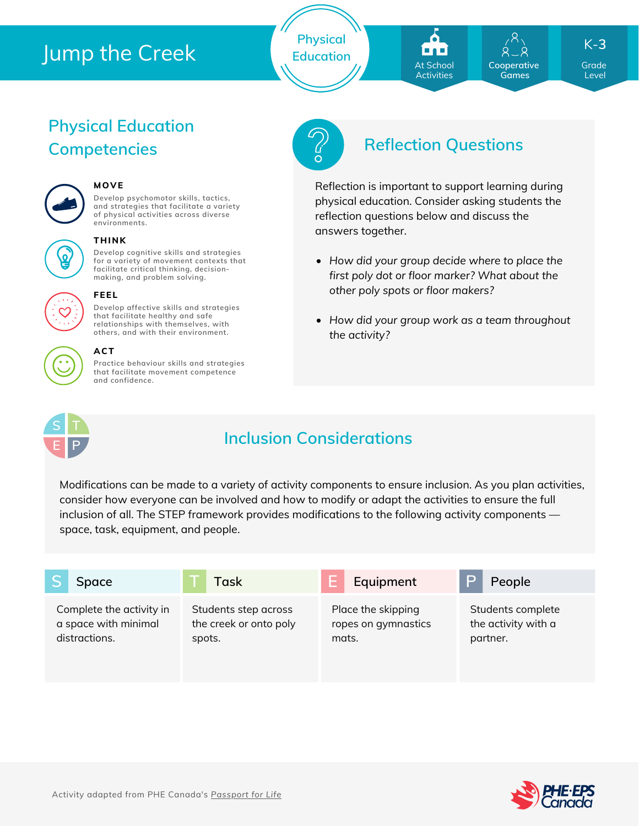## Jump the Creek

**Physical Education**



**Cooperative Games**

Grade K-**3**

Level

# **Physical Education**



### **MOVE**

**Develop psychomotor skills, tactics, and strategies that facilitate a variety of physical activities across diverse environments.**



#### **THINK**

**Develop cognitive skills and strategies for a variety of movement contexts that facilitate critical thinking, decision making, and problem solving.**

**Develop affective skills and strategies that facilitate healthy and safe relationships with themselves, with**



#### **others, and with their environment. ACT**

**FEEL**

**Practice behaviour skills and strategies that facilitate movement competence and confidence.**



## **Competencies Reflection Questions**

Reflection is important to support learning during physical education. Consider asking students the reflection questions below and discuss the answers together.

- *How did your group decide where to place the first poly dot or floor marker? What about the other poly spots or floor makers?*
- *How did your group work as a team throughout the activity?*



## **Inclusion Considerations**

Modifications can be made to a variety of activity components to ensure inclusion. As you plan activities, consider how everyone can be involved and how to modify or adapt the activities to ensure the full inclusion of all. The STEP framework provides modifications to the following activity components space, task, equipment, and people.